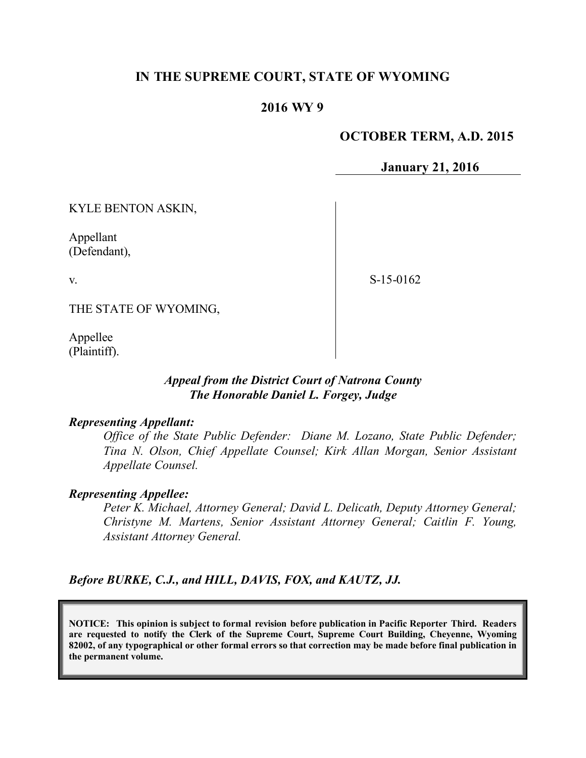# **IN THE SUPREME COURT, STATE OF WYOMING**

## **2016 WY 9**

### **OCTOBER TERM, A.D. 2015**

**January 21, 2016**

KYLE BENTON ASKIN,

Appellant (Defendant),

v.

S-15-0162

THE STATE OF WYOMING,

Appellee (Plaintiff).

### *Appeal from the District Court of Natrona County The Honorable Daniel L. Forgey, Judge*

#### *Representing Appellant:*

*Office of the State Public Defender: Diane M. Lozano, State Public Defender; Tina N. Olson, Chief Appellate Counsel; Kirk Allan Morgan, Senior Assistant Appellate Counsel.* 

#### *Representing Appellee:*

*Peter K. Michael, Attorney General; David L. Delicath, Deputy Attorney General; Christyne M. Martens, Senior Assistant Attorney General; Caitlin F. Young, Assistant Attorney General.*

*Before BURKE, C.J., and HILL, DAVIS, FOX, and KAUTZ, JJ.*

**NOTICE: This opinion is subject to formal revision before publication in Pacific Reporter Third. Readers are requested to notify the Clerk of the Supreme Court, Supreme Court Building, Cheyenne, Wyoming 82002, of any typographical or other formal errors so that correction may be made before final publication in the permanent volume.**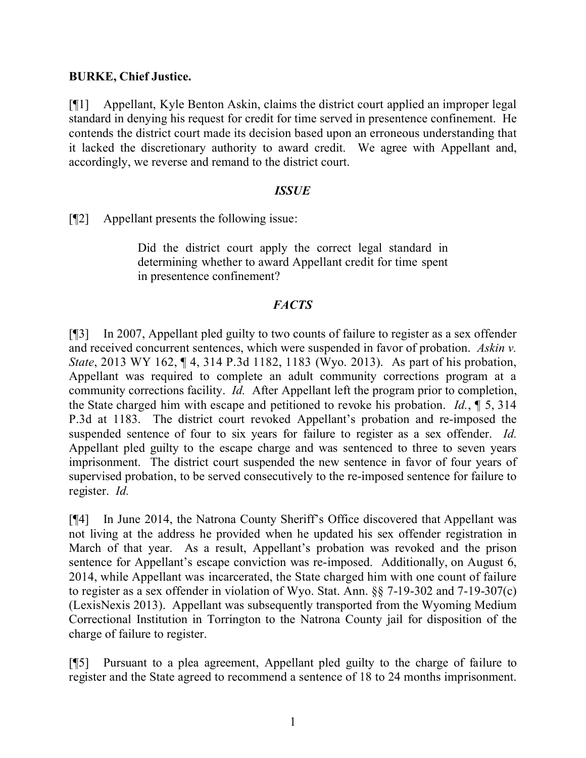## **BURKE, Chief Justice.**

[¶1] Appellant, Kyle Benton Askin, claims the district court applied an improper legal standard in denying his request for credit for time served in presentence confinement. He contends the district court made its decision based upon an erroneous understanding that it lacked the discretionary authority to award credit. We agree with Appellant and, accordingly, we reverse and remand to the district court.

## *ISSUE*

[¶2] Appellant presents the following issue:

Did the district court apply the correct legal standard in determining whether to award Appellant credit for time spent in presentence confinement?

# *FACTS*

[¶3] In 2007, Appellant pled guilty to two counts of failure to register as a sex offender and received concurrent sentences, which were suspended in favor of probation. *Askin v. State*, 2013 WY 162, ¶ 4, 314 P.3d 1182, 1183 (Wyo. 2013). As part of his probation, Appellant was required to complete an adult community corrections program at a community corrections facility. *Id.* After Appellant left the program prior to completion, the State charged him with escape and petitioned to revoke his probation. *Id.*, ¶ 5, 314 P.3d at 1183. The district court revoked Appellant's probation and re-imposed the suspended sentence of four to six years for failure to register as a sex offender. *Id.* Appellant pled guilty to the escape charge and was sentenced to three to seven years imprisonment. The district court suspended the new sentence in favor of four years of supervised probation, to be served consecutively to the re-imposed sentence for failure to register. *Id.*

[¶4] In June 2014, the Natrona County Sheriff's Office discovered that Appellant was not living at the address he provided when he updated his sex offender registration in March of that year. As a result, Appellant's probation was revoked and the prison sentence for Appellant's escape conviction was re-imposed. Additionally, on August 6, 2014, while Appellant was incarcerated, the State charged him with one count of failure to register as a sex offender in violation of Wyo. Stat. Ann. §§ 7-19-302 and 7-19-307(c) (LexisNexis 2013). Appellant was subsequently transported from the Wyoming Medium Correctional Institution in Torrington to the Natrona County jail for disposition of the charge of failure to register.

[¶5] Pursuant to a plea agreement, Appellant pled guilty to the charge of failure to register and the State agreed to recommend a sentence of 18 to 24 months imprisonment.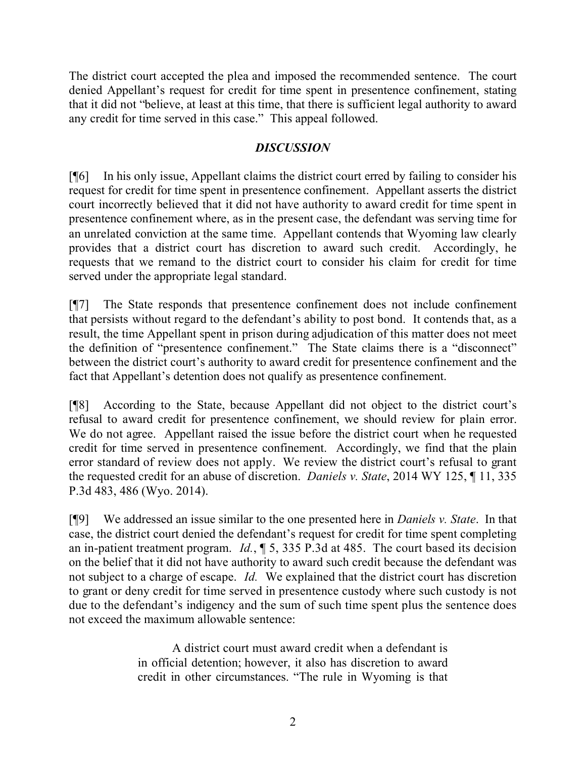The district court accepted the plea and imposed the recommended sentence. The court denied Appellant's request for credit for time spent in presentence confinement, stating that it did not "believe, at least at this time, that there is sufficient legal authority to award any credit for time served in this case." This appeal followed.

# *DISCUSSION*

[¶6] In his only issue, Appellant claims the district court erred by failing to consider his request for credit for time spent in presentence confinement. Appellant asserts the district court incorrectly believed that it did not have authority to award credit for time spent in presentence confinement where, as in the present case, the defendant was serving time for an unrelated conviction at the same time. Appellant contends that Wyoming law clearly provides that a district court has discretion to award such credit. Accordingly, he requests that we remand to the district court to consider his claim for credit for time served under the appropriate legal standard.

[¶7] The State responds that presentence confinement does not include confinement that persists without regard to the defendant's ability to post bond. It contends that, as a result, the time Appellant spent in prison during adjudication of this matter does not meet the definition of "presentence confinement." The State claims there is a "disconnect" between the district court's authority to award credit for presentence confinement and the fact that Appellant's detention does not qualify as presentence confinement.

[¶8] According to the State, because Appellant did not object to the district court's refusal to award credit for presentence confinement, we should review for plain error. We do not agree. Appellant raised the issue before the district court when he requested credit for time served in presentence confinement. Accordingly, we find that the plain error standard of review does not apply. We review the district court's refusal to grant the requested credit for an abuse of discretion. *Daniels v. State*, 2014 WY 125, ¶ 11, 335 P.3d 483, 486 (Wyo. 2014).

[¶9] We addressed an issue similar to the one presented here in *Daniels v. State*. In that case, the district court denied the defendant's request for credit for time spent completing an in-patient treatment program. *Id.*, ¶ 5, 335 P.3d at 485. The court based its decision on the belief that it did not have authority to award such credit because the defendant was not subject to a charge of escape. *Id.* We explained that the district court has discretion to grant or deny credit for time served in presentence custody where such custody is not due to the defendant's indigency and the sum of such time spent plus the sentence does not exceed the maximum allowable sentence:

> A district court must award credit when a defendant is in official detention; however, it also has discretion to award credit in other circumstances. "The rule in Wyoming is that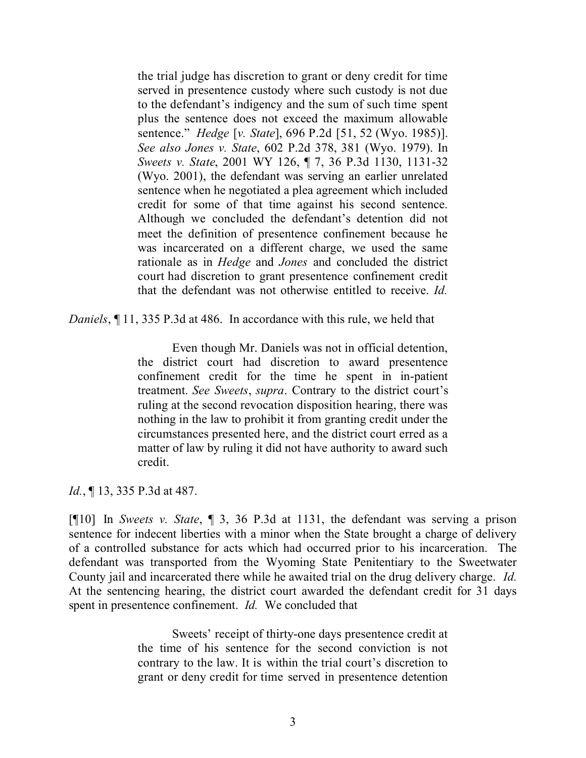the trial judge has discretion to grant or deny credit for time served in presentence custody where such custody is not due to the defendant's indigency and the sum of such time spent plus the sentence does not exceed the maximum allowable sentence." *Hedge* [*v. State*], 696 P.2d [51, 52 (Wyo. 1985)]. *See also Jones v. State*, 602 P.2d 378, 381 (Wyo. 1979). In *Sweets v. State*, 2001 WY 126, ¶ 7, 36 P.3d 1130, 1131-32 (Wyo. 2001), the defendant was serving an earlier unrelated sentence when he negotiated a plea agreement which included credit for some of that time against his second sentence. Although we concluded the defendant's detention did not meet the definition of presentence confinement because he was incarcerated on a different charge, we used the same rationale as in *Hedge* and *Jones* and concluded the district court had discretion to grant presentence confinement credit that the defendant was not otherwise entitled to receive. *Id.*

*Daniels*, ¶ 11, 335 P.3d at 486. In accordance with this rule, we held that

Even though Mr. Daniels was not in official detention, the district court had discretion to award presentence confinement credit for the time he spent in in-patient treatment. *See Sweets*, *supra*. Contrary to the district court's ruling at the second revocation disposition hearing, there was nothing in the law to prohibit it from granting credit under the circumstances presented here, and the district court erred as a matter of law by ruling it did not have authority to award such credit.

*Id.*, ¶ 13, 335 P.3d at 487.

[¶10] In *Sweets v. State*, ¶ 3, 36 P.3d at 1131, the defendant was serving a prison sentence for indecent liberties with a minor when the State brought a charge of delivery of a controlled substance for acts which had occurred prior to his incarceration. The defendant was transported from the Wyoming State Penitentiary to the Sweetwater County jail and incarcerated there while he awaited trial on the drug delivery charge. *Id.* At the sentencing hearing, the district court awarded the defendant credit for 31 days spent in presentence confinement. *Id.* We concluded that

> Sweets' receipt of thirty-one days presentence credit at the time of his sentence for the second conviction is not contrary to the law. It is within the trial court's discretion to grant or deny credit for time served in presentence detention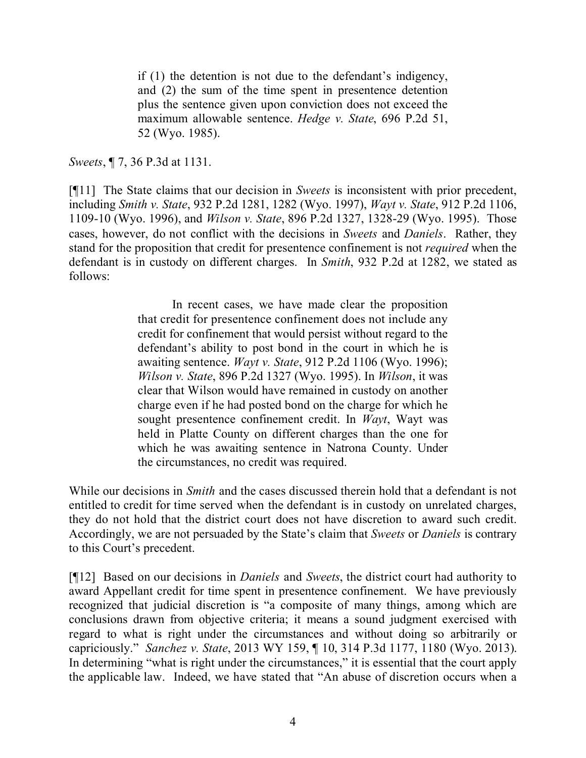if (1) the detention is not due to the defendant's indigency, and (2) the sum of the time spent in presentence detention plus the sentence given upon conviction does not exceed the maximum allowable sentence. *Hedge v. State*, 696 P.2d 51, 52 (Wyo. 1985).

*Sweets*, ¶ 7, 36 P.3d at 1131.

[¶11] The State claims that our decision in *Sweets* is inconsistent with prior precedent, including *Smith v. State*, 932 P.2d 1281, 1282 (Wyo. 1997), *Wayt v. State*, 912 P.2d 1106, 1109-10 (Wyo. 1996), and *Wilson v. State*, 896 P.2d 1327, 1328-29 (Wyo. 1995). Those cases, however, do not conflict with the decisions in *Sweets* and *Daniels*. Rather, they stand for the proposition that credit for presentence confinement is not *required* when the defendant is in custody on different charges. In *Smith*, 932 P.2d at 1282, we stated as follows:

> In recent cases, we have made clear the proposition that credit for presentence confinement does not include any credit for confinement that would persist without regard to the defendant's ability to post bond in the court in which he is awaiting sentence. *Wayt v. State*, 912 P.2d 1106 (Wyo. 1996); *Wilson v. State*, 896 P.2d 1327 (Wyo. 1995). In *Wilson*, it was clear that Wilson would have remained in custody on another charge even if he had posted bond on the charge for which he sought presentence confinement credit. In *Wayt*, Wayt was held in Platte County on different charges than the one for which he was awaiting sentence in Natrona County. Under the circumstances, no credit was required.

While our decisions in *Smith* and the cases discussed therein hold that a defendant is not entitled to credit for time served when the defendant is in custody on unrelated charges, they do not hold that the district court does not have discretion to award such credit. Accordingly, we are not persuaded by the State's claim that *Sweets* or *Daniels* is contrary to this Court's precedent.

[¶12] Based on our decisions in *Daniels* and *Sweets*, the district court had authority to award Appellant credit for time spent in presentence confinement. We have previously recognized that judicial discretion is "a composite of many things, among which are conclusions drawn from objective criteria; it means a sound judgment exercised with regard to what is right under the circumstances and without doing so arbitrarily or capriciously." *Sanchez v. State*, 2013 WY 159, ¶ 10, 314 P.3d 1177, 1180 (Wyo. 2013). In determining "what is right under the circumstances," it is essential that the court apply the applicable law. Indeed, we have stated that "An abuse of discretion occurs when a